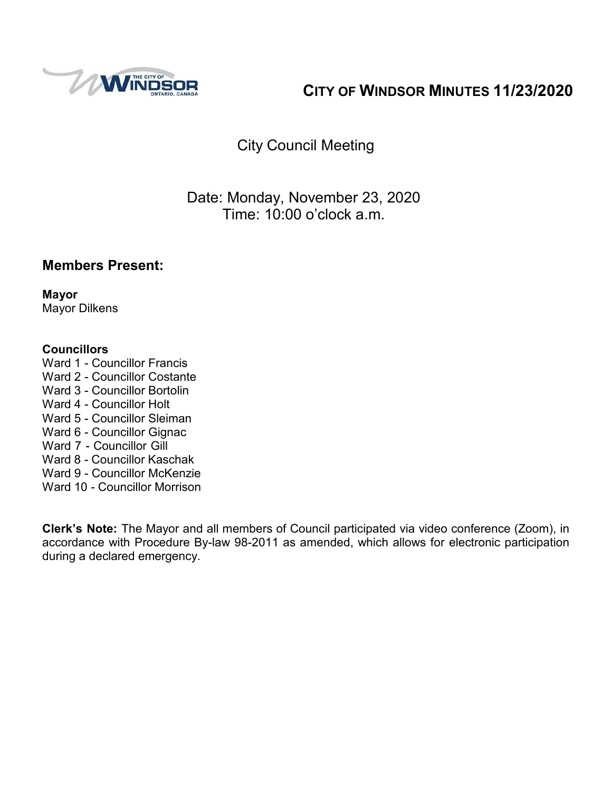

# **CITY OF WINDSOR MINUTES 11/23/2020**

# City Council Meeting

## Date: Monday, November 23, 2020 Time: 10:00 o'clock a.m.

## **Members Present:**

**Mayor** Mayor Dilkens

#### **Councillors**

- Ward 1 Councillor Francis
- Ward 2 Councillor Costante
- Ward 3 Councillor Bortolin
- Ward 4 Councillor Holt
- Ward 5 Councillor Sleiman
- Ward 6 Councillor Gignac
- Ward 7 Councillor Gill
- Ward 8 Councillor Kaschak
- Ward 9 Councillor McKenzie
- Ward 10 Councillor Morrison

**Clerk's Note:** The Mayor and all members of Council participated via video conference (Zoom), in accordance with Procedure By-law 98-2011 as amended, which allows for electronic participation during a declared emergency.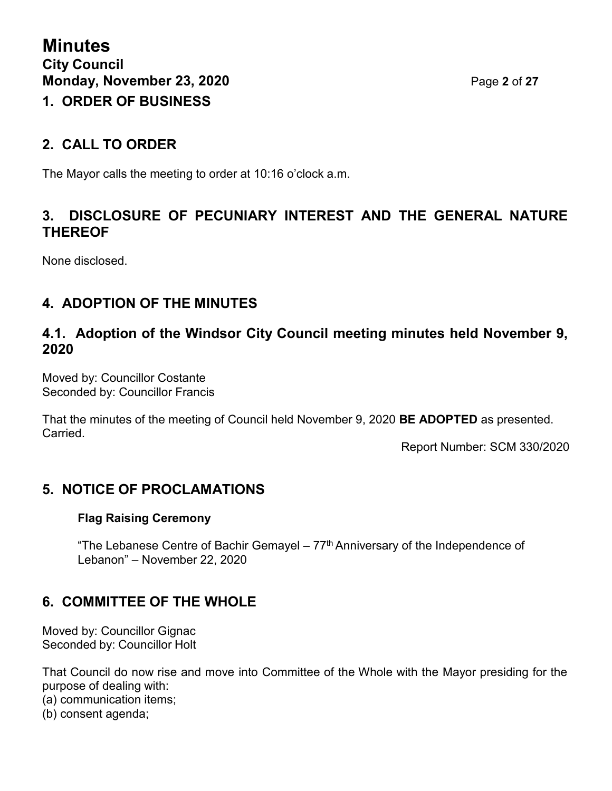## **2. CALL TO ORDER**

The Mayor calls the meeting to order at 10:16 o'clock a.m.

## **3. DISCLOSURE OF PECUNIARY INTEREST AND THE GENERAL NATURE THEREOF**

None disclosed.

## **4. ADOPTION OF THE MINUTES**

## **4.1. Adoption of the Windsor City Council meeting minutes held November 9, 2020**

Moved by: Councillor Costante Seconded by: Councillor Francis

That the minutes of the meeting of Council held November 9, 2020 **BE ADOPTED** as presented. Carried.

Report Number: SCM 330/2020

## **5. NOTICE OF PROCLAMATIONS**

#### **Flag Raising Ceremony**

"The Lebanese Centre of Bachir Gemayel –  $77<sup>th</sup>$  Anniversary of the Independence of Lebanon" – November 22, 2020

## **6. COMMITTEE OF THE WHOLE**

Moved by: Councillor Gignac Seconded by: Councillor Holt

That Council do now rise and move into Committee of the Whole with the Mayor presiding for the purpose of dealing with:

(a) communication items;

(b) consent agenda;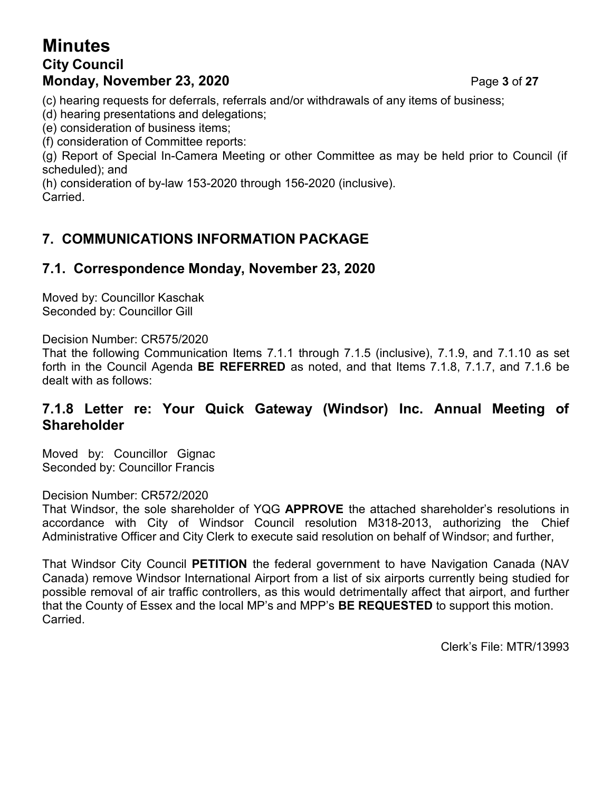## **Minutes City Council Monday, November 23, 2020** Page **3** of **27**

(c) hearing requests for deferrals, referrals and/or withdrawals of any items of business;

(d) hearing presentations and delegations;

(e) consideration of business items;

(f) consideration of Committee reports:

(g) Report of Special In-Camera Meeting or other Committee as may be held prior to Council (if scheduled); and

(h) consideration of by-law 153-2020 through 156-2020 (inclusive).

Carried.

## **7. COMMUNICATIONS INFORMATION PACKAGE**

## **7.1. Correspondence Monday, November 23, 2020**

Moved by: Councillor Kaschak Seconded by: Councillor Gill

Decision Number: CR575/2020

That the following Communication Items 7.1.1 through 7.1.5 (inclusive), 7.1.9, and 7.1.10 as set forth in the Council Agenda **BE REFERRED** as noted, and that Items 7.1.8, 7.1.7, and 7.1.6 be dealt with as follows:

#### **7.1.8 Letter re: Your Quick Gateway (Windsor) Inc. Annual Meeting of Shareholder**

Moved by: Councillor Gignac Seconded by: Councillor Francis

#### Decision Number: CR572/2020

That Windsor, the sole shareholder of YQG **APPROVE** the attached shareholder's resolutions in accordance with City of Windsor Council resolution M318-2013, authorizing the Chief Administrative Officer and City Clerk to execute said resolution on behalf of Windsor; and further,

That Windsor City Council **PETITION** the federal government to have Navigation Canada (NAV Canada) remove Windsor International Airport from a list of six airports currently being studied for possible removal of air traffic controllers, as this would detrimentally affect that airport, and further that the County of Essex and the local MP's and MPP's **BE REQUESTED** to support this motion. Carried.

Clerk's File: MTR/13993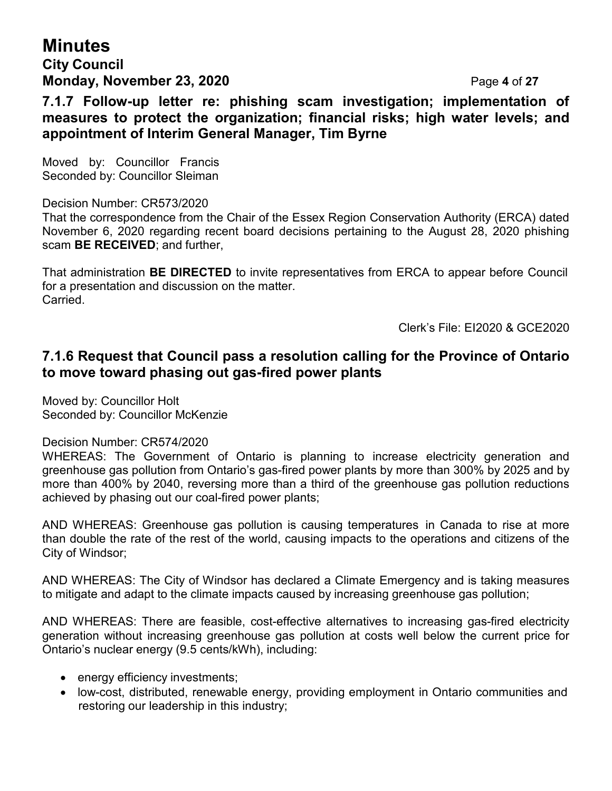# **Minutes**

## **City Council Monday, November 23, 2020** Page **4** of **27**

**7.1.7 Follow-up letter re: phishing scam investigation; implementation of measures to protect the organization; financial risks; high water levels; and appointment of Interim General Manager, Tim Byrne**

Moved by: Councillor Francis Seconded by: Councillor Sleiman

Decision Number: CR573/2020

That the correspondence from the Chair of the Essex Region Conservation Authority (ERCA) dated November 6, 2020 regarding recent board decisions pertaining to the August 28, 2020 phishing scam **BE RECEIVED**; and further,

That administration **BE DIRECTED** to invite representatives from ERCA to appear before Council for a presentation and discussion on the matter. Carried.

Clerk's File: EI2020 & GCE2020

## **7.1.6 Request that Council pass a resolution calling for the Province of Ontario to move toward phasing out gas-fired power plants**

Moved by: Councillor Holt Seconded by: Councillor McKenzie

#### Decision Number: CR574/2020

WHEREAS: The Government of Ontario is planning to increase electricity generation and greenhouse gas pollution from Ontario's gas-fired power plants by more than 300% by 2025 and by more than 400% by 2040, reversing more than a third of the greenhouse gas pollution reductions achieved by phasing out our coal-fired power plants;

AND WHEREAS: Greenhouse gas pollution is causing temperatures in Canada to rise at more than double the rate of the rest of the world, causing impacts to the operations and citizens of the City of Windsor;

AND WHEREAS: The City of Windsor has declared a Climate Emergency and is taking measures to mitigate and adapt to the climate impacts caused by increasing greenhouse gas pollution;

AND WHEREAS: There are feasible, cost-effective alternatives to increasing gas-fired electricity generation without increasing greenhouse gas pollution at costs well below the current price for Ontario's nuclear energy (9.5 cents/kWh), including:

- energy efficiency investments;
- low-cost, distributed, renewable energy, providing employment in Ontario communities and restoring our leadership in this industry;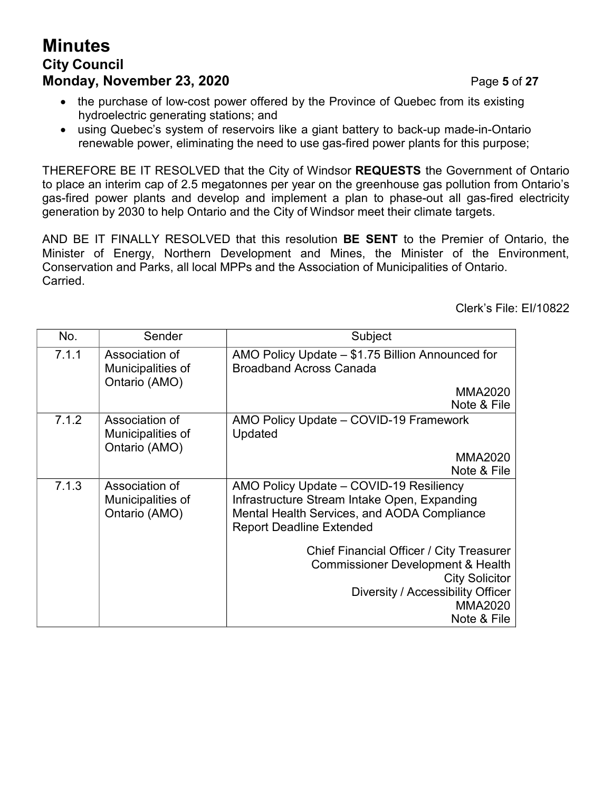# **Minutes City Council Monday, November 23, 2020 Page 5 of 27**

- the purchase of low-cost power offered by the Province of Quebec from its existing hydroelectric generating stations; and
- using Quebec's system of reservoirs like a giant battery to back-up made-in-Ontario renewable power, eliminating the need to use gas-fired power plants for this purpose;

THEREFORE BE IT RESOLVED that the City of Windsor **REQUESTS** the Government of Ontario to place an interim cap of 2.5 megatonnes per year on the greenhouse gas pollution from Ontario's gas-fired power plants and develop and implement a plan to phase-out all gas-fired electricity generation by 2030 to help Ontario and the City of Windsor meet their climate targets.

AND BE IT FINALLY RESOLVED that this resolution **BE SENT** to the Premier of Ontario, the Minister of Energy, Northern Development and Mines, the Minister of the Environment, Conservation and Parks, all local MPPs and the Association of Municipalities of Ontario. Carried.

Clerk's File: EI/10822

| No.   | Sender                                               | Subject                                                                                                                                                                                 |  |
|-------|------------------------------------------------------|-----------------------------------------------------------------------------------------------------------------------------------------------------------------------------------------|--|
| 7.1.1 | Association of<br>Municipalities of<br>Ontario (AMO) | AMO Policy Update - \$1.75 Billion Announced for<br><b>Broadband Across Canada</b>                                                                                                      |  |
|       |                                                      | <b>MMA2020</b><br>Note & File                                                                                                                                                           |  |
| 7.1.2 | Association of<br>Municipalities of<br>Ontario (AMO) | AMO Policy Update - COVID-19 Framework<br>Updated                                                                                                                                       |  |
|       |                                                      | <b>MMA2020</b><br>Note & File                                                                                                                                                           |  |
| 7.1.3 | Association of<br>Municipalities of<br>Ontario (AMO) | AMO Policy Update - COVID-19 Resiliency<br>Infrastructure Stream Intake Open, Expanding<br><b>Mental Health Services, and AODA Compliance</b><br><b>Report Deadline Extended</b>        |  |
|       |                                                      | Chief Financial Officer / City Treasurer<br><b>Commissioner Development &amp; Health</b><br><b>City Solicitor</b><br>Diversity / Accessibility Officer<br><b>MMA2020</b><br>Note & File |  |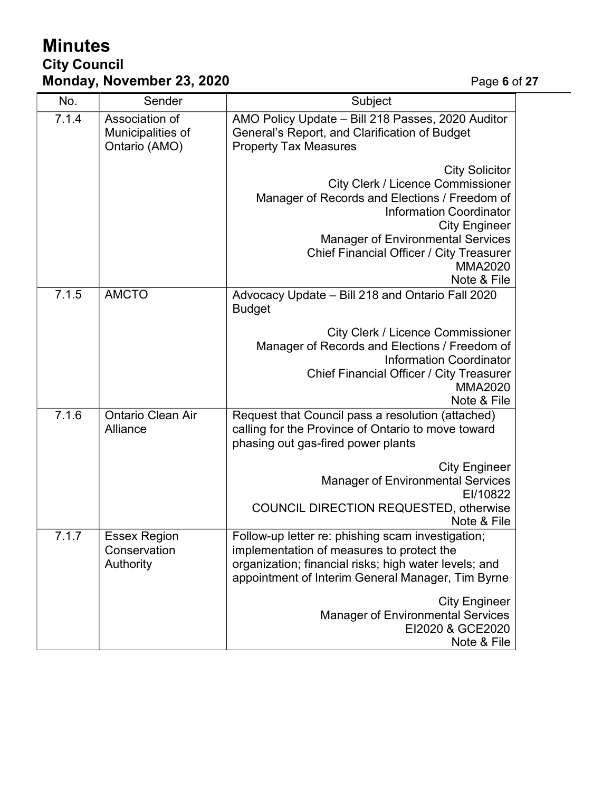# **Minutes City Council Monday, November 23, 2020** Page **6** of **27**

| No.   | Sender                                               | Subject                                                                                                                                                                                                                                                                                               |  |
|-------|------------------------------------------------------|-------------------------------------------------------------------------------------------------------------------------------------------------------------------------------------------------------------------------------------------------------------------------------------------------------|--|
| 7.1.4 | Association of<br>Municipalities of<br>Ontario (AMO) | AMO Policy Update - Bill 218 Passes, 2020 Auditor<br>General's Report, and Clarification of Budget<br><b>Property Tax Measures</b>                                                                                                                                                                    |  |
|       |                                                      | <b>City Solicitor</b><br><b>City Clerk / Licence Commissioner</b><br>Manager of Records and Elections / Freedom of<br><b>Information Coordinator</b><br><b>City Engineer</b><br><b>Manager of Environmental Services</b><br>Chief Financial Officer / City Treasurer<br><b>MMA2020</b><br>Note & File |  |
| 7.1.5 | <b>AMCTO</b>                                         | Advocacy Update - Bill 218 and Ontario Fall 2020<br><b>Budget</b>                                                                                                                                                                                                                                     |  |
|       |                                                      | <b>City Clerk / Licence Commissioner</b><br>Manager of Records and Elections / Freedom of<br><b>Information Coordinator</b><br>Chief Financial Officer / City Treasurer<br><b>MMA2020</b><br>Note & File                                                                                              |  |
| 7.1.6 | <b>Ontario Clean Air</b><br>Alliance                 | Request that Council pass a resolution (attached)<br>calling for the Province of Ontario to move toward<br>phasing out gas-fired power plants                                                                                                                                                         |  |
|       |                                                      | <b>City Engineer</b><br><b>Manager of Environmental Services</b><br>EI/10822<br><b>COUNCIL DIRECTION REQUESTED, otherwise</b><br>Note & File                                                                                                                                                          |  |
| 7.1.7 | <b>Essex Region</b><br>Conservation<br>Authority     | Follow-up letter re: phishing scam investigation;<br>implementation of measures to protect the<br>organization; financial risks; high water levels; and<br>appointment of Interim General Manager, Tim Byrne                                                                                          |  |
|       |                                                      | <b>City Engineer</b><br><b>Manager of Environmental Services</b><br>EI2020 & GCE2020<br>Note & File                                                                                                                                                                                                   |  |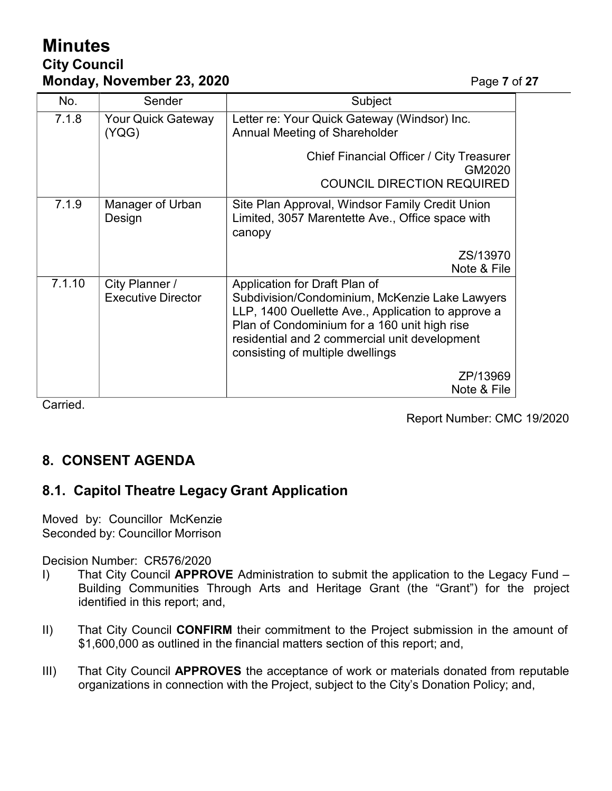# **Minutes City Council Monday, November 23, 2020 Page 7** of 27

| No.    | Sender                                      | Subject                                                                                                                                                                                                                                                                    |  |
|--------|---------------------------------------------|----------------------------------------------------------------------------------------------------------------------------------------------------------------------------------------------------------------------------------------------------------------------------|--|
| 7.1.8  | <b>Your Quick Gateway</b><br>(YQG)          | Letter re: Your Quick Gateway (Windsor) Inc.<br>Annual Meeting of Shareholder                                                                                                                                                                                              |  |
|        |                                             | Chief Financial Officer / City Treasurer<br>GM2020                                                                                                                                                                                                                         |  |
|        |                                             | <b>COUNCIL DIRECTION REQUIRED</b>                                                                                                                                                                                                                                          |  |
| 7.1.9  | Manager of Urban<br>Design                  | Site Plan Approval, Windsor Family Credit Union<br>Limited, 3057 Marentette Ave., Office space with<br>canopy                                                                                                                                                              |  |
|        |                                             | ZS/13970<br>Note & File                                                                                                                                                                                                                                                    |  |
| 7.1.10 | City Planner /<br><b>Executive Director</b> | Application for Draft Plan of<br>Subdivision/Condominium, McKenzie Lake Lawyers<br>LLP, 1400 Ouellette Ave., Application to approve a<br>Plan of Condominium for a 160 unit high rise<br>residential and 2 commercial unit development<br>consisting of multiple dwellings |  |
|        |                                             | ZP/13969<br>Note & File                                                                                                                                                                                                                                                    |  |

Carried.

Report Number: CMC 19/2020

# **8. CONSENT AGENDA**

## **8.1. Capitol Theatre Legacy Grant Application**

Moved by: Councillor McKenzie Seconded by: Councillor Morrison

Decision Number: CR576/2020

- I) That City Council **APPROVE** Administration to submit the application to the Legacy Fund Building Communities Through Arts and Heritage Grant (the "Grant") for the project identified in this report; and,
- II) That City Council **CONFIRM** their commitment to the Project submission in the amount of \$1,600,000 as outlined in the financial matters section of this report; and,
- III) That City Council **APPROVES** the acceptance of work or materials donated from reputable organizations in connection with the Project, subject to the City's Donation Policy; and,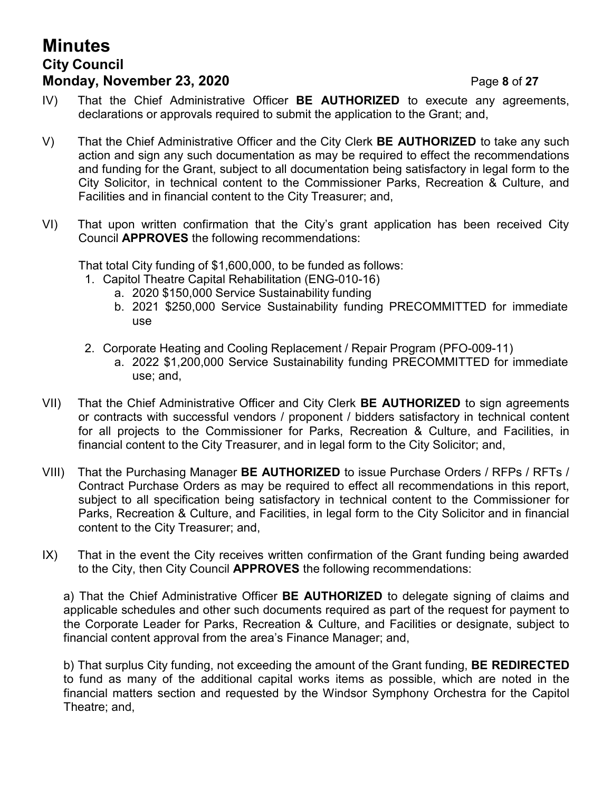# **Minutes City Council Monday, November 23, 2020** Page **8** of **27**

- IV) That the Chief Administrative Officer **BE AUTHORIZED** to execute any agreements, declarations or approvals required to submit the application to the Grant; and,
- V) That the Chief Administrative Officer and the City Clerk **BE AUTHORIZED** to take any such action and sign any such documentation as may be required to effect the recommendations and funding for the Grant, subject to all documentation being satisfactory in legal form to the City Solicitor, in technical content to the Commissioner Parks, Recreation & Culture, and Facilities and in financial content to the City Treasurer; and,
- VI) That upon written confirmation that the City's grant application has been received City Council **APPROVES** the following recommendations:

That total City funding of \$1,600,000, to be funded as follows:

- 1. Capitol Theatre Capital Rehabilitation (ENG-010-16)
	- a. 2020 \$150,000 Service Sustainability funding
	- b. 2021 \$250,000 Service Sustainability funding PRECOMMITTED for immediate use
- 2. Corporate Heating and Cooling Replacement / Repair Program (PFO-009-11)
	- a. 2022 \$1,200,000 Service Sustainability funding PRECOMMITTED for immediate use; and,
- VII) That the Chief Administrative Officer and City Clerk **BE AUTHORIZED** to sign agreements or contracts with successful vendors / proponent / bidders satisfactory in technical content for all projects to the Commissioner for Parks, Recreation & Culture, and Facilities, in financial content to the City Treasurer, and in legal form to the City Solicitor; and,
- VIII) That the Purchasing Manager **BE AUTHORIZED** to issue Purchase Orders / RFPs / RFTs / Contract Purchase Orders as may be required to effect all recommendations in this report, subject to all specification being satisfactory in technical content to the Commissioner for Parks, Recreation & Culture, and Facilities, in legal form to the City Solicitor and in financial content to the City Treasurer; and,
- IX) That in the event the City receives written confirmation of the Grant funding being awarded to the City, then City Council **APPROVES** the following recommendations:

a) That the Chief Administrative Officer **BE AUTHORIZED** to delegate signing of claims and applicable schedules and other such documents required as part of the request for payment to the Corporate Leader for Parks, Recreation & Culture, and Facilities or designate, subject to financial content approval from the area's Finance Manager; and,

b) That surplus City funding, not exceeding the amount of the Grant funding, **BE REDIRECTED** to fund as many of the additional capital works items as possible, which are noted in the financial matters section and requested by the Windsor Symphony Orchestra for the Capitol Theatre; and,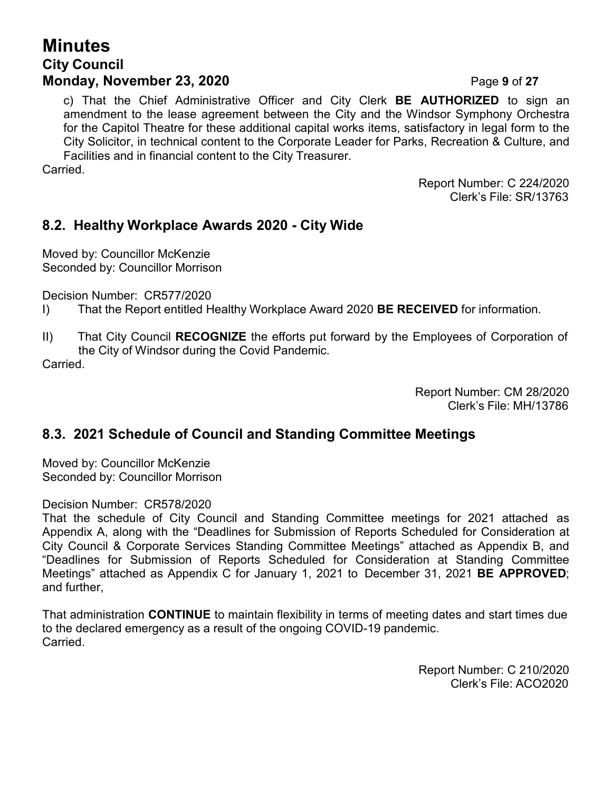## **Minutes City Council Monday, November 23, 2020 Page 9 of 27**

c) That the Chief Administrative Officer and City Clerk **BE AUTHORIZED** to sign an amendment to the lease agreement between the City and the Windsor Symphony Orchestra for the Capitol Theatre for these additional capital works items, satisfactory in legal form to the City Solicitor, in technical content to the Corporate Leader for Parks, Recreation & Culture, and Facilities and in financial content to the City Treasurer.

Carried.

Report Number: C 224/2020 Clerk's File: SR/13763

#### **8.2. Healthy Workplace Awards 2020 - City Wide**

Moved by: Councillor McKenzie Seconded by: Councillor Morrison

Decision Number: CR577/2020

- I) That the Report entitled Healthy Workplace Award 2020 **BE RECEIVED** for information.
- II) That City Council **RECOGNIZE** the efforts put forward by the Employees of Corporation of the City of Windsor during the Covid Pandemic. Carried.

Report Number: CM 28/2020 Clerk's File: MH/13786

#### **8.3. 2021 Schedule of Council and Standing Committee Meetings**

Moved by: Councillor McKenzie Seconded by: Councillor Morrison

#### Decision Number: CR578/2020

That the schedule of City Council and Standing Committee meetings for 2021 attached as Appendix A, along with the "Deadlines for Submission of Reports Scheduled for Consideration at City Council & Corporate Services Standing Committee Meetings" attached as Appendix B, and "Deadlines for Submission of Reports Scheduled for Consideration at Standing Committee Meetings" attached as Appendix C for January 1, 2021 to December 31, 2021 **BE APPROVED**; and further,

That administration **CONTINUE** to maintain flexibility in terms of meeting dates and start times due to the declared emergency as a result of the ongoing COVID-19 pandemic. Carried.

> Report Number: C 210/2020 Clerk's File: ACO2020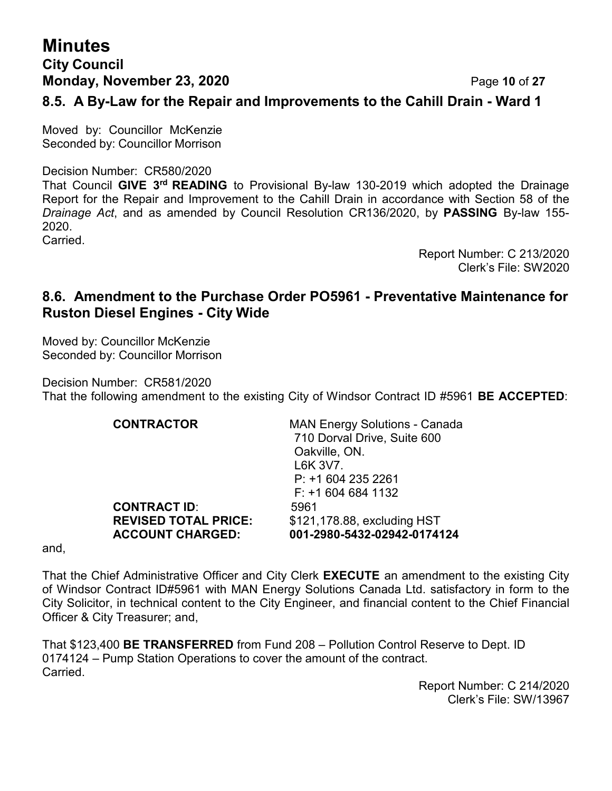# **Minutes City Council Monday, November 23, 2020 Page 10 of 27**

**8.5. A By-Law for the Repair and Improvements to the Cahill Drain - Ward 1**

Moved by: Councillor McKenzie Seconded by: Councillor Morrison

Decision Number: CR580/2020

That Council **GIVE 3rd READING** to Provisional By-law 130-2019 which adopted the Drainage Report for the Repair and Improvement to the Cahill Drain in accordance with Section 58 of the *Drainage Act*, and as amended by Council Resolution CR136/2020, by **PASSING** By-law 155- 2020.

**Carried** 

Report Number: C 213/2020 Clerk's File: SW2020

#### **8.6. Amendment to the Purchase Order PO5961 - Preventative Maintenance for Ruston Diesel Engines - City Wide**

Moved by: Councillor McKenzie Seconded by: Councillor Morrison

Decision Number: CR581/2020 That the following amendment to the existing City of Windsor Contract ID #5961 **BE ACCEPTED**:

| <b>CONTRACTOR</b>           | <b>MAN Energy Solutions - Canada</b><br>710 Dorval Drive, Suite 600<br>Oakville, ON.<br>L6K 3V7.<br>$P: +16042352261$<br>$F: +16046841132$ |
|-----------------------------|--------------------------------------------------------------------------------------------------------------------------------------------|
| <b>CONTRACT ID:</b>         | 5961                                                                                                                                       |
| <b>REVISED TOTAL PRICE:</b> | \$121,178.88, excluding HST                                                                                                                |
| <b>ACCOUNT CHARGED:</b>     | 001-2980-5432-02942-0174124                                                                                                                |

and,

That the Chief Administrative Officer and City Clerk **EXECUTE** an amendment to the existing City of Windsor Contract ID#5961 with MAN Energy Solutions Canada Ltd. satisfactory in form to the City Solicitor, in technical content to the City Engineer, and financial content to the Chief Financial Officer & City Treasurer; and,

That \$123,400 **BE TRANSFERRED** from Fund 208 – Pollution Control Reserve to Dept. ID 0174124 – Pump Station Operations to cover the amount of the contract. Carried.

Report Number: C 214/2020 Clerk's File: SW/13967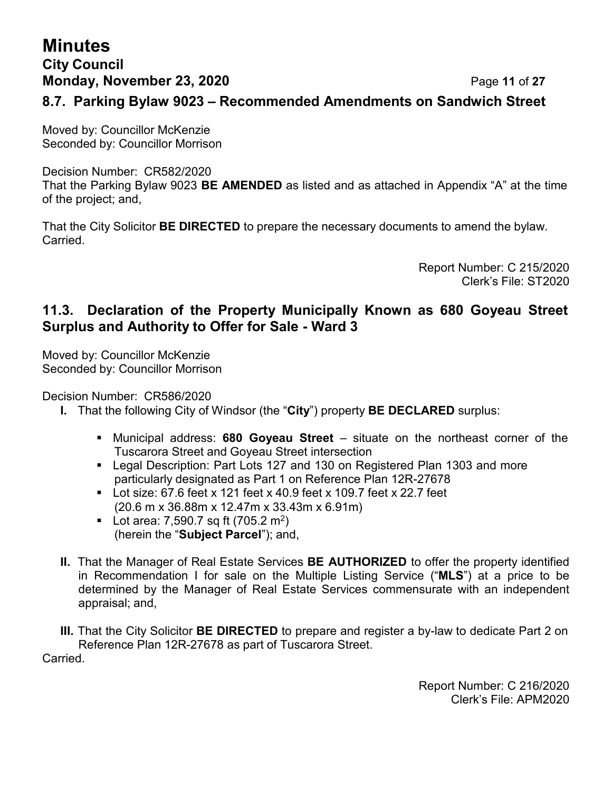# **Minutes City Council Monday, November 23, 2020 Page 11 of 27 8.7. Parking Bylaw 9023 – Recommended Amendments on Sandwich Street**

Moved by: Councillor McKenzie Seconded by: Councillor Morrison

Decision Number: CR582/2020 That the Parking Bylaw 9023 **BE AMENDED** as listed and as attached in Appendix "A" at the time of the project; and,

That the City Solicitor **BE DIRECTED** to prepare the necessary documents to amend the bylaw. **Carried** 

> Report Number: C 215/2020 Clerk's File: ST2020

#### **11.3. Declaration of the Property Municipally Known as 680 Goyeau Street Surplus and Authority to Offer for Sale - Ward 3**

Moved by: Councillor McKenzie Seconded by: Councillor Morrison

Decision Number: CR586/2020

- **I.** That the following City of Windsor (the "**City**") property **BE DECLARED** surplus:
	- Municipal address: **680 Goyeau Street** situate on the northeast corner of the Tuscarora Street and Goyeau Street intersection
	- Legal Description: Part Lots 127 and 130 on Registered Plan 1303 and more particularly designated as Part 1 on Reference Plan 12R-27678
	- $\blacksquare$  Lot size: 67.6 feet x 121 feet x 40.9 feet x 109.7 feet x 22.7 feet (20.6 m x 36.88m x 12.47m x 33.43m x 6.91m)
	- **•** Lot area: 7,590.7 sq ft (705.2 m<sup>2</sup>) (herein the "**Subject Parcel**"); and,
- **II.** That the Manager of Real Estate Services **BE AUTHORIZED** to offer the property identified in Recommendation I for sale on the Multiple Listing Service ("**MLS**") at a price to be determined by the Manager of Real Estate Services commensurate with an independent appraisal; and,

**III.** That the City Solicitor **BE DIRECTED** to prepare and register a by-law to dedicate Part 2 on Reference Plan 12R-27678 as part of Tuscarora Street.

Carried.

Report Number: C 216/2020 Clerk's File: APM2020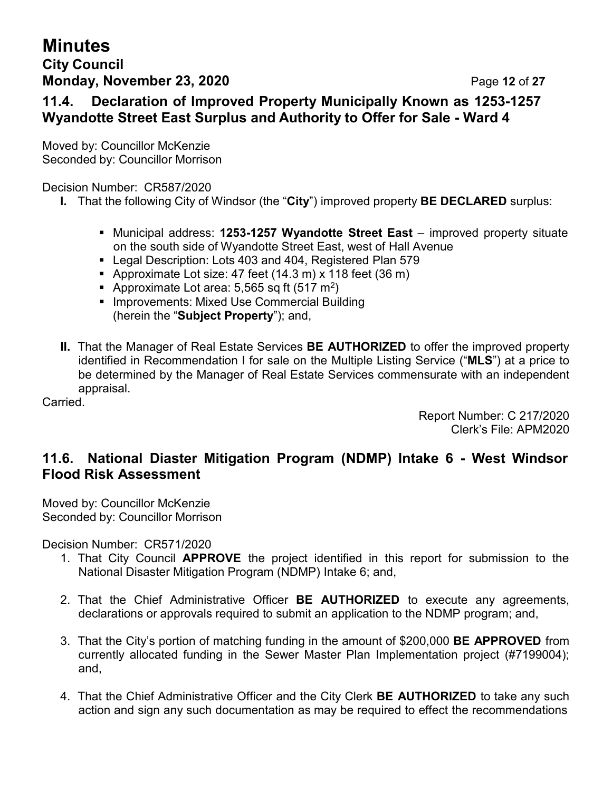## **Minutes City Council Monday, November 23, 2020 Page 12 of 27**

## **11.4. Declaration of Improved Property Municipally Known as 1253-1257 Wyandotte Street East Surplus and Authority to Offer for Sale - Ward 4**

Moved by: Councillor McKenzie Seconded by: Councillor Morrison

Decision Number: CR587/2020

- **I.** That the following City of Windsor (the "**City**") improved property **BE DECLARED** surplus:
	- Municipal address: **1253-1257 Wyandotte Street East** improved property situate on the south side of Wyandotte Street East, west of Hall Avenue
	- Legal Description: Lots 403 and 404, Registered Plan 579
	- **•** Approximate Lot size: 47 feet  $(14.3 \text{ m}) \times 118$  feet  $(36 \text{ m})$
	- **•** Approximate Lot area: 5,565 sq ft (517 m<sup>2</sup>)
	- **E** Improvements: Mixed Use Commercial Building (herein the "**Subject Property**"); and,
- **II.** That the Manager of Real Estate Services **BE AUTHORIZED** to offer the improved property identified in Recommendation I for sale on the Multiple Listing Service ("**MLS**") at a price to be determined by the Manager of Real Estate Services commensurate with an independent appraisal.

Carried.

Report Number: C 217/2020 Clerk's File: APM2020

## **11.6. National Diaster Mitigation Program (NDMP) Intake 6 - West Windsor Flood Risk Assessment**

Moved by: Councillor McKenzie Seconded by: Councillor Morrison

Decision Number: CR571/2020

- 1. That City Council **APPROVE** the project identified in this report for submission to the National Disaster Mitigation Program (NDMP) Intake 6; and,
- 2. That the Chief Administrative Officer **BE AUTHORIZED** to execute any agreements, declarations or approvals required to submit an application to the NDMP program; and,
- 3. That the City's portion of matching funding in the amount of \$200,000 **BE APPROVED** from currently allocated funding in the Sewer Master Plan Implementation project (#7199004); and,
- 4. That the Chief Administrative Officer and the City Clerk **BE AUTHORIZED** to take any such action and sign any such documentation as may be required to effect the recommendations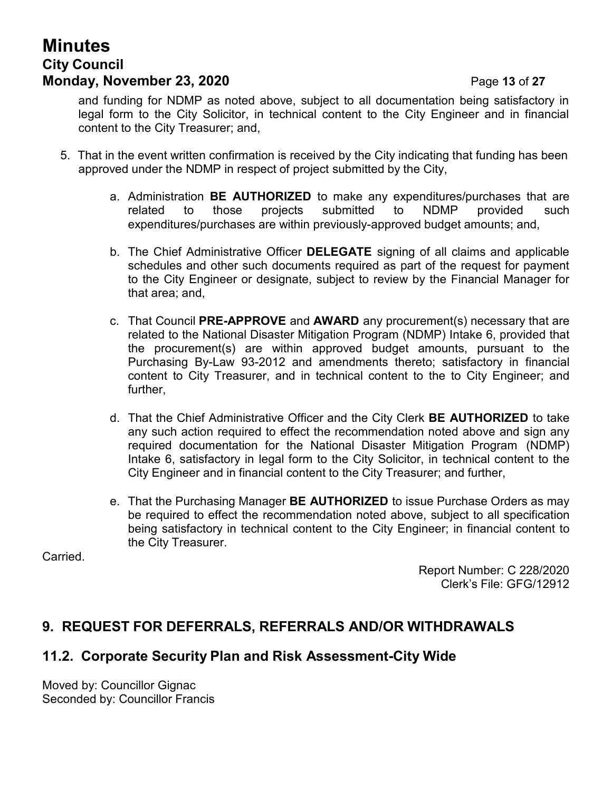# **Minutes City Council Monday, November 23, 2020 Page 13 of 27**

and funding for NDMP as noted above, subject to all documentation being satisfactory in legal form to the City Solicitor, in technical content to the City Engineer and in financial content to the City Treasurer; and,

- 5. That in the event written confirmation is received by the City indicating that funding has been approved under the NDMP in respect of project submitted by the City,
	- a. Administration **BE AUTHORIZED** to make any expenditures/purchases that are related to those projects submitted to NDMP provided such expenditures/purchases are within previously-approved budget amounts; and,
	- b. The Chief Administrative Officer **DELEGATE** signing of all claims and applicable schedules and other such documents required as part of the request for payment to the City Engineer or designate, subject to review by the Financial Manager for that area; and,
	- c. That Council **PRE-APPROVE** and **AWARD** any procurement(s) necessary that are related to the National Disaster Mitigation Program (NDMP) Intake 6, provided that the procurement(s) are within approved budget amounts, pursuant to the Purchasing By-Law 93-2012 and amendments thereto; satisfactory in financial content to City Treasurer, and in technical content to the to City Engineer; and further,
	- d. That the Chief Administrative Officer and the City Clerk **BE AUTHORIZED** to take any such action required to effect the recommendation noted above and sign any required documentation for the National Disaster Mitigation Program (NDMP) Intake 6, satisfactory in legal form to the City Solicitor, in technical content to the City Engineer and in financial content to the City Treasurer; and further,
	- e. That the Purchasing Manager **BE AUTHORIZED** to issue Purchase Orders as may be required to effect the recommendation noted above, subject to all specification being satisfactory in technical content to the City Engineer; in financial content to the City Treasurer.

Carried.

Report Number: C 228/2020 Clerk's File: GFG/12912

## **9. REQUEST FOR DEFERRALS, REFERRALS AND/OR WITHDRAWALS**

## **11.2. Corporate Security Plan and Risk Assessment-City Wide**

Moved by: Councillor Gignac Seconded by: Councillor Francis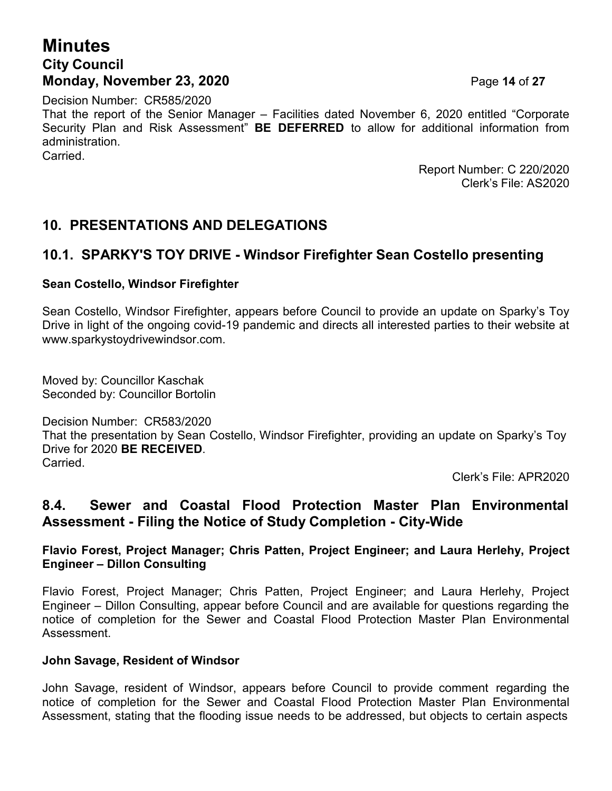## **Minutes City Council Monday, November 23, 2020 Page 14 of 27**

Decision Number: CR585/2020 That the report of the Senior Manager – Facilities dated November 6, 2020 entitled "Corporate Security Plan and Risk Assessment" **BE DEFERRED** to allow for additional information from administration. **Carried** 

> Report Number: C 220/2020 Clerk's File: AS2020

## **10. PRESENTATIONS AND DELEGATIONS**

#### **10.1. SPARKY'S TOY DRIVE - Windsor Firefighter Sean Costello presenting**

#### **Sean Costello, Windsor Firefighter**

Sean Costello, Windsor Firefighter, appears before Council to provide an update on Sparky's Toy Drive in light of the ongoing covid-19 pandemic and directs all interested parties to their website at [www.sparkystoydrivewindsor.com.](http://www.sparkystoydrivewindsor.com/)

Moved by: Councillor Kaschak Seconded by: Councillor Bortolin

Decision Number: CR583/2020 That the presentation by Sean Costello, Windsor Firefighter, providing an update on Sparky's Toy Drive for 2020 **BE RECEIVED**. Carried.

Clerk's File: APR2020

## **8.4. Sewer and Coastal Flood Protection Master Plan Environmental Assessment - Filing the Notice of Study Completion - City-Wide**

#### **Flavio Forest, Project Manager; Chris Patten, Project Engineer; and Laura Herlehy, Project Engineer – Dillon Consulting**

Flavio Forest, Project Manager; Chris Patten, Project Engineer; and Laura Herlehy, Project Engineer – Dillon Consulting, appear before Council and are available for questions regarding the notice of completion for the Sewer and Coastal Flood Protection Master Plan Environmental Assessment.

#### **John Savage, Resident of Windsor**

John Savage, resident of Windsor, appears before Council to provide comment regarding the notice of completion for the Sewer and Coastal Flood Protection Master Plan Environmental Assessment, stating that the flooding issue needs to be addressed, but objects to certain aspects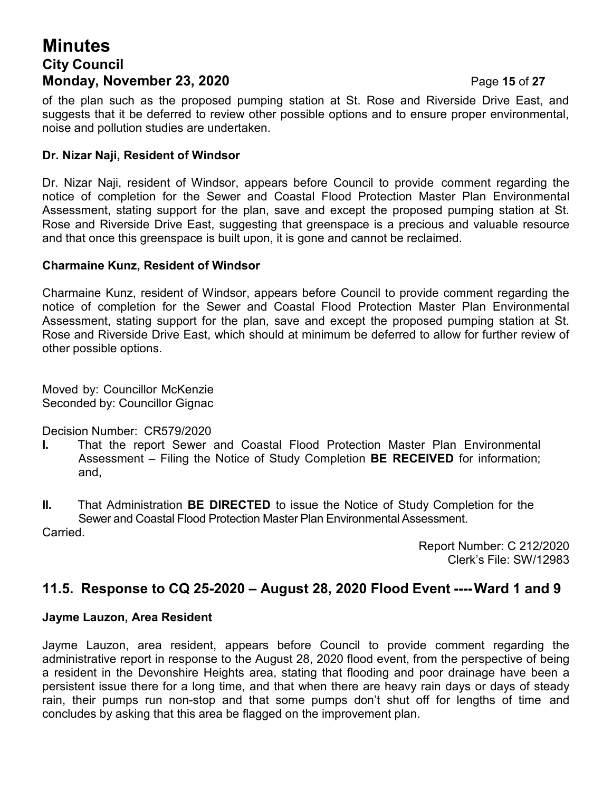## **Minutes City Council Monday, November 23, 2020 Page 15 of 27**

#### **Dr. Nizar Naji, Resident of Windsor**

Dr. Nizar Naji, resident of Windsor, appears before Council to provide comment regarding the notice of completion for the Sewer and Coastal Flood Protection Master Plan Environmental Assessment, stating support for the plan, save and except the proposed pumping station at St. Rose and Riverside Drive East, suggesting that greenspace is a precious and valuable resource and that once this greenspace is built upon, it is gone and cannot be reclaimed.

#### **Charmaine Kunz, Resident of Windsor**

Charmaine Kunz, resident of Windsor, appears before Council to provide comment regarding the notice of completion for the Sewer and Coastal Flood Protection Master Plan Environmental Assessment, stating support for the plan, save and except the proposed pumping station at St. Rose and Riverside Drive East, which should at minimum be deferred to allow for further review of other possible options.

Moved by: Councillor McKenzie Seconded by: Councillor Gignac

Decision Number: CR579/2020

- **I.** That the report Sewer and Coastal Flood Protection Master Plan Environmental Assessment – Filing the Notice of Study Completion **BE RECEIVED** for information; and,
- **II.** That Administration **BE DIRECTED** to issue the Notice of Study Completion for the Sewer and Coastal Flood Protection Master Plan Environmental Assessment. Carried.

Report Number: C 212/2020 Clerk's File: SW/12983

## **11.5. Response to CQ 25-2020 – August 28, 2020 Flood Event ---Ward 1 and 9**

#### **Jayme Lauzon, Area Resident**

Jayme Lauzon, area resident, appears before Council to provide comment regarding the administrative report in response to the August 28, 2020 flood event, from the perspective of being a resident in the Devonshire Heights area, stating that flooding and poor drainage have been a persistent issue there for a long time, and that when there are heavy rain days or days of steady rain, their pumps run non-stop and that some pumps don't shut off for lengths of time and concludes by asking that this area be flagged on the improvement plan.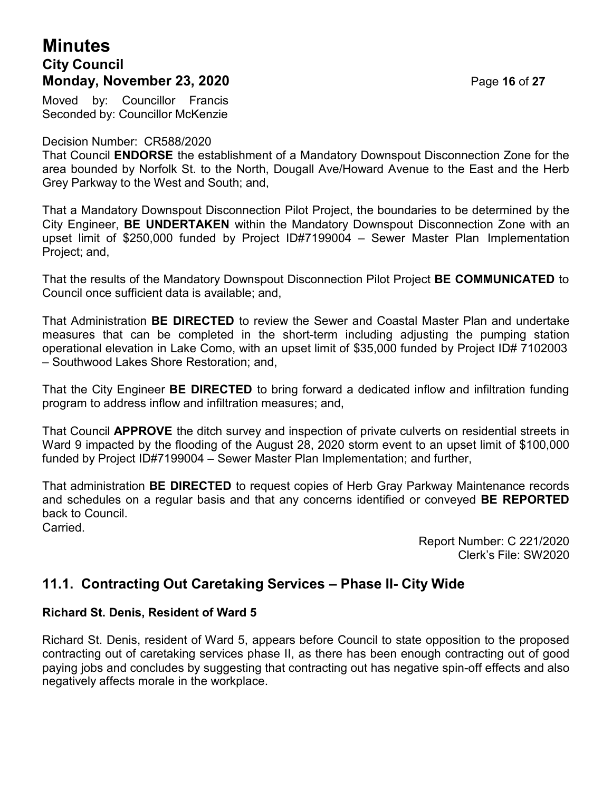## **Minutes City Council Monday, November 23, 2020 Page 16 of 27**

Moved by: Councillor Francis Seconded by: Councillor McKenzie

#### Decision Number: CR588/2020

That Council **ENDORSE** the establishment of a Mandatory Downspout Disconnection Zone for the area bounded by Norfolk St. to the North, Dougall Ave/Howard Avenue to the East and the Herb Grey Parkway to the West and South; and,

That a Mandatory Downspout Disconnection Pilot Project, the boundaries to be determined by the City Engineer, **BE UNDERTAKEN** within the Mandatory Downspout Disconnection Zone with an upset limit of \$250,000 funded by Project ID#7199004 – Sewer Master Plan Implementation Project; and,

That the results of the Mandatory Downspout Disconnection Pilot Project **BE COMMUNICATED** to Council once sufficient data is available; and,

That Administration **BE DIRECTED** to review the Sewer and Coastal Master Plan and undertake measures that can be completed in the short-term including adjusting the pumping station operational elevation in Lake Como, with an upset limit of \$35,000 funded by Project ID# 7102003 – Southwood Lakes Shore Restoration; and,

That the City Engineer **BE DIRECTED** to bring forward a dedicated inflow and infiltration funding program to address inflow and infiltration measures; and,

That Council **APPROVE** the ditch survey and inspection of private culverts on residential streets in Ward 9 impacted by the flooding of the August 28, 2020 storm event to an upset limit of \$100,000 funded by Project ID#7199004 – Sewer Master Plan Implementation; and further,

That administration **BE DIRECTED** to request copies of Herb Gray Parkway Maintenance records and schedules on a regular basis and that any concerns identified or conveyed **BE REPORTED** back to Council. Carried.

> Report Number: C 221/2020 Clerk's File: SW2020

## **11.1. Contracting Out Caretaking Services – Phase II- City Wide**

#### **Richard St. Denis, Resident of Ward 5**

Richard St. Denis, resident of Ward 5, appears before Council to state opposition to the proposed contracting out of caretaking services phase II, as there has been enough contracting out of good paying jobs and concludes by suggesting that contracting out has negative spin-off effects and also negatively affects morale in the workplace.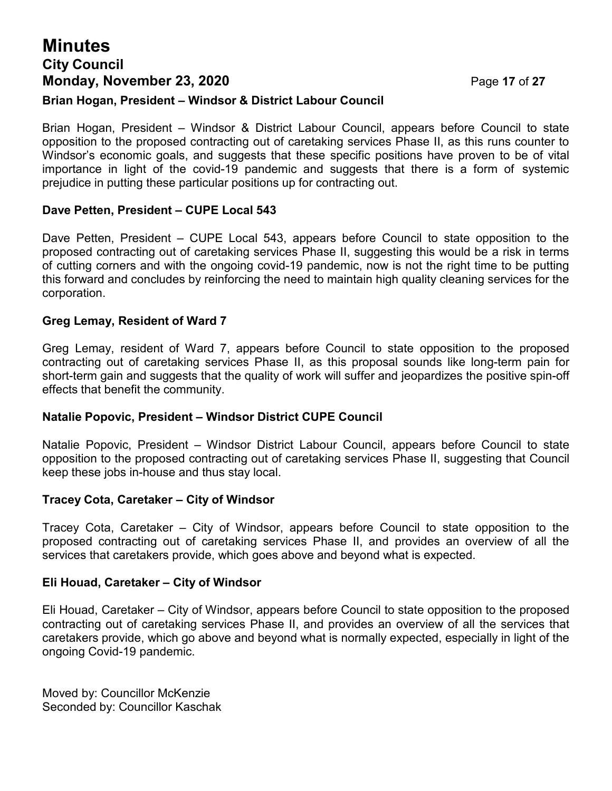# **Minutes City Council Monday, November 23, 2020 Page 17 of 27**

#### **Brian Hogan, President – Windsor & District Labour Council**

Brian Hogan, President – Windsor & District Labour Council, appears before Council to state opposition to the proposed contracting out of caretaking services Phase II, as this runs counter to Windsor's economic goals, and suggests that these specific positions have proven to be of vital importance in light of the covid-19 pandemic and suggests that there is a form of systemic prejudice in putting these particular positions up for contracting out.

#### **Dave Petten, President – CUPE Local 543**

Dave Petten, President – CUPE Local 543, appears before Council to state opposition to the proposed contracting out of caretaking services Phase II, suggesting this would be a risk in terms of cutting corners and with the ongoing covid-19 pandemic, now is not the right time to be putting this forward and concludes by reinforcing the need to maintain high quality cleaning services for the corporation.

#### **Greg Lemay, Resident of Ward 7**

Greg Lemay, resident of Ward 7, appears before Council to state opposition to the proposed contracting out of caretaking services Phase II, as this proposal sounds like long-term pain for short-term gain and suggests that the quality of work will suffer and jeopardizes the positive spin-off effects that benefit the community.

#### **Natalie Popovic, President – Windsor District CUPE Council**

Natalie Popovic, President – Windsor District Labour Council, appears before Council to state opposition to the proposed contracting out of caretaking services Phase II, suggesting that Council keep these jobs in-house and thus stay local.

#### **Tracey Cota, Caretaker – City of Windsor**

Tracey Cota, Caretaker – City of Windsor, appears before Council to state opposition to the proposed contracting out of caretaking services Phase II, and provides an overview of all the services that caretakers provide, which goes above and beyond what is expected.

#### **Eli Houad, Caretaker – City of Windsor**

Eli Houad, Caretaker – City of Windsor, appears before Council to state opposition to the proposed contracting out of caretaking services Phase II, and provides an overview of all the services that caretakers provide, which go above and beyond what is normally expected, especially in light of the ongoing Covid-19 pandemic.

Moved by: Councillor McKenzie Seconded by: Councillor Kaschak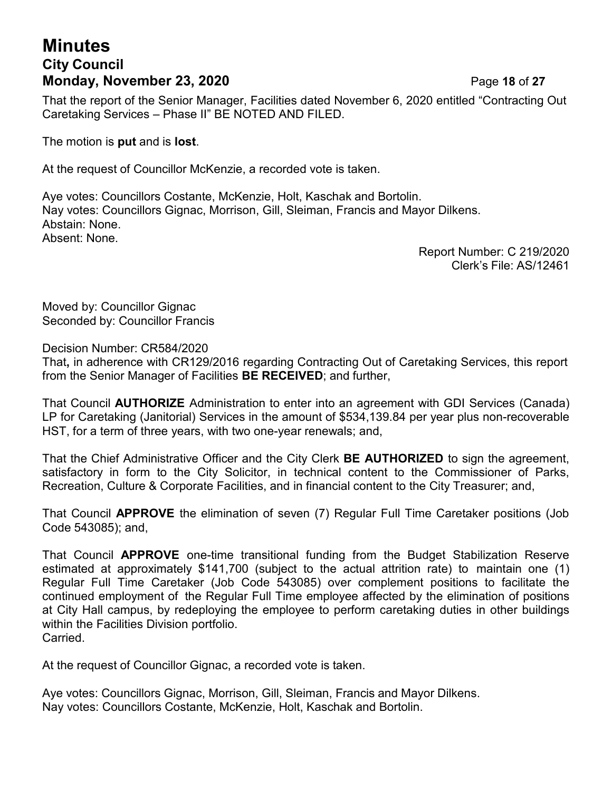## **Minutes City Council Monday, November 23, 2020 Page 18 of 27**

That the report of the Senior Manager, Facilities dated November 6, 2020 entitled "Contracting Out Caretaking Services – Phase II" BE NOTED AND FILED.

The motion is **put** and is **lost**.

At the request of Councillor McKenzie, a recorded vote is taken.

Aye votes: Councillors Costante, McKenzie, Holt, Kaschak and Bortolin. Nay votes: Councillors Gignac, Morrison, Gill, Sleiman, Francis and Mayor Dilkens. Abstain: None. Absent: None.

> Report Number: C 219/2020 Clerk's File: AS/12461

Moved by: Councillor Gignac Seconded by: Councillor Francis

Decision Number: CR584/2020

That**,** in adherence with CR129/2016 regarding Contracting Out of Caretaking Services, this report from the Senior Manager of Facilities **BE RECEIVED**; and further,

That Council **AUTHORIZE** Administration to enter into an agreement with GDI Services (Canada) LP for Caretaking (Janitorial) Services in the amount of \$534,139.84 per year plus non-recoverable HST, for a term of three years, with two one-year renewals; and,

That the Chief Administrative Officer and the City Clerk **BE AUTHORIZED** to sign the agreement, satisfactory in form to the City Solicitor, in technical content to the Commissioner of Parks, Recreation, Culture & Corporate Facilities, and in financial content to the City Treasurer; and,

That Council **APPROVE** the elimination of seven (7) Regular Full Time Caretaker positions (Job Code 543085); and,

That Council **APPROVE** one-time transitional funding from the Budget Stabilization Reserve estimated at approximately \$141,700 (subject to the actual attrition rate) to maintain one (1) Regular Full Time Caretaker (Job Code 543085) over complement positions to facilitate the continued employment of the Regular Full Time employee affected by the elimination of positions at City Hall campus, by redeploying the employee to perform caretaking duties in other buildings within the Facilities Division portfolio. Carried.

At the request of Councillor Gignac, a recorded vote is taken.

Aye votes: Councillors Gignac, Morrison, Gill, Sleiman, Francis and Mayor Dilkens. Nay votes: Councillors Costante, McKenzie, Holt, Kaschak and Bortolin.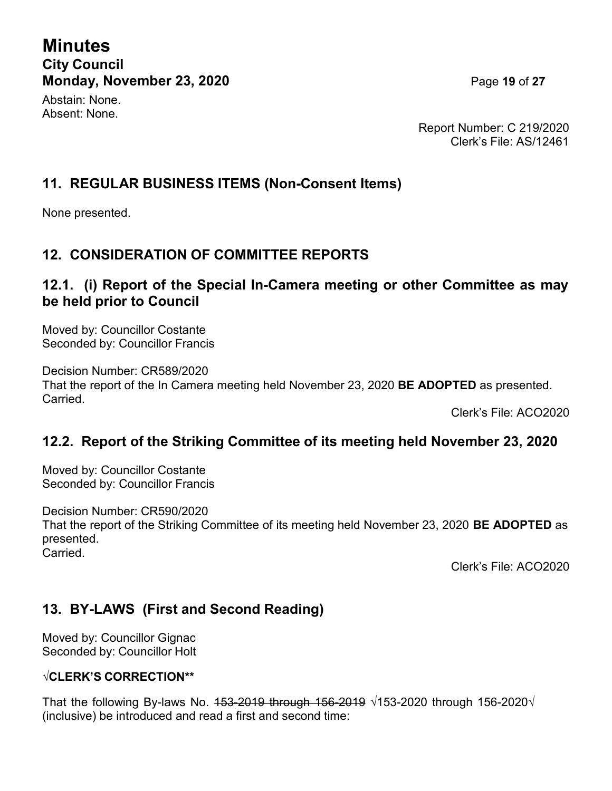**Minutes City Council Monday, November 23, 2020 Page 19 of 27** 

Abstain: None. Absent: None.

Report Number: C 219/2020 Clerk's File: AS/12461

## **11. REGULAR BUSINESS ITEMS (Non-Consent Items)**

None presented.

## **12. CONSIDERATION OF COMMITTEE REPORTS**

#### **12.1. (i) Report of the Special In-Camera meeting or other Committee as may be held prior to Council**

Moved by: Councillor Costante Seconded by: Councillor Francis

Decision Number: CR589/2020 That the report of the In Camera meeting held November 23, 2020 **BE ADOPTED** as presented. Carried.

Clerk's File: ACO2020

## **12.2. Report of the Striking Committee of its meeting held November 23, 2020**

Moved by: Councillor Costante Seconded by: Councillor Francis

Decision Number: CR590/2020 That the report of the Striking Committee of its meeting held November 23, 2020 **BE ADOPTED** as presented. **Carried** 

Clerk's File: ACO2020

## **13. BY-LAWS (First and Second Reading)**

Moved by: Councillor Gignac Seconded by: Councillor Holt

#### **√CLERK'S CORRECTION\*\***

That the following By-laws No.  $153-2019$  through  $156-2019 \sqrt{153-2020}$  through  $156-2020\sqrt{153}$ (inclusive) be introduced and read a first and second time: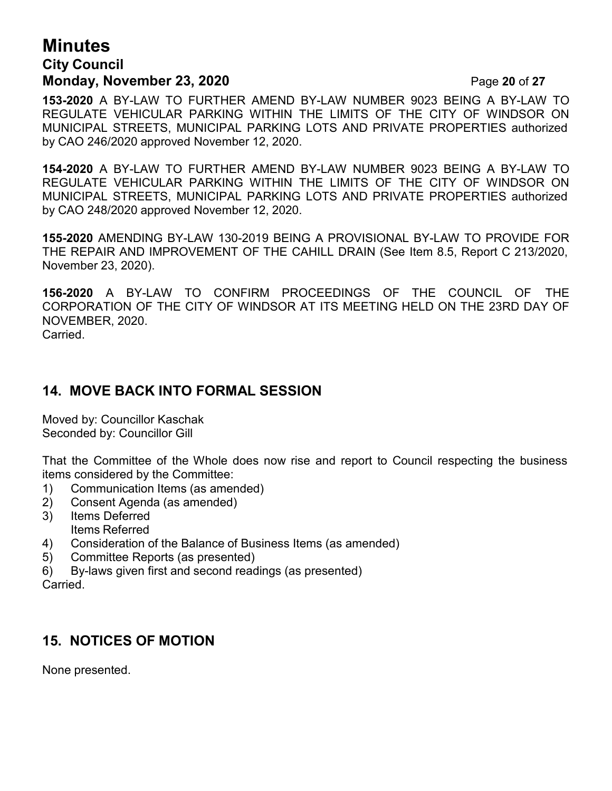## **Minutes City Council Monday, November 23, 2020 Page 20 of 27**

**153-2020** A BY-LAW TO FURTHER AMEND BY-LAW NUMBER 9023 BEING A BY-LAW TO REGULATE VEHICULAR PARKING WITHIN THE LIMITS OF THE CITY OF WINDSOR ON MUNICIPAL STREETS, MUNICIPAL PARKING LOTS AND PRIVATE PROPERTIES authorized by CAO 246/2020 approved November 12, 2020.

**154-2020** A BY-LAW TO FURTHER AMEND BY-LAW NUMBER 9023 BEING A BY-LAW TO REGULATE VEHICULAR PARKING WITHIN THE LIMITS OF THE CITY OF WINDSOR ON MUNICIPAL STREETS, MUNICIPAL PARKING LOTS AND PRIVATE PROPERTIES authorized by CAO 248/2020 approved November 12, 2020.

**155-2020** AMENDING BY-LAW 130-2019 BEING A PROVISIONAL BY-LAW TO PROVIDE FOR THE REPAIR AND IMPROVEMENT OF THE CAHILL DRAIN (See Item 8.5, Report C 213/2020, November 23, 2020).

**156-2020** A BY-LAW TO CONFIRM PROCEEDINGS OF THE COUNCIL OF THE CORPORATION OF THE CITY OF WINDSOR AT ITS MEETING HELD ON THE 23RD DAY OF NOVEMBER, 2020. Carried.

## **14. MOVE BACK INTO FORMAL SESSION**

Moved by: Councillor Kaschak Seconded by: Councillor Gill

That the Committee of the Whole does now rise and report to Council respecting the business items considered by the Committee:

- 1) Communication Items (as amended)
- 2) Consent Agenda (as amended)
- 3) Items Deferred Items Referred
- 4) Consideration of the Balance of Business Items (as amended)
- 5) Committee Reports (as presented)
- 6) By-laws given first and second readings (as presented) **Carried**

## **15. NOTICES OF MOTION**

None presented.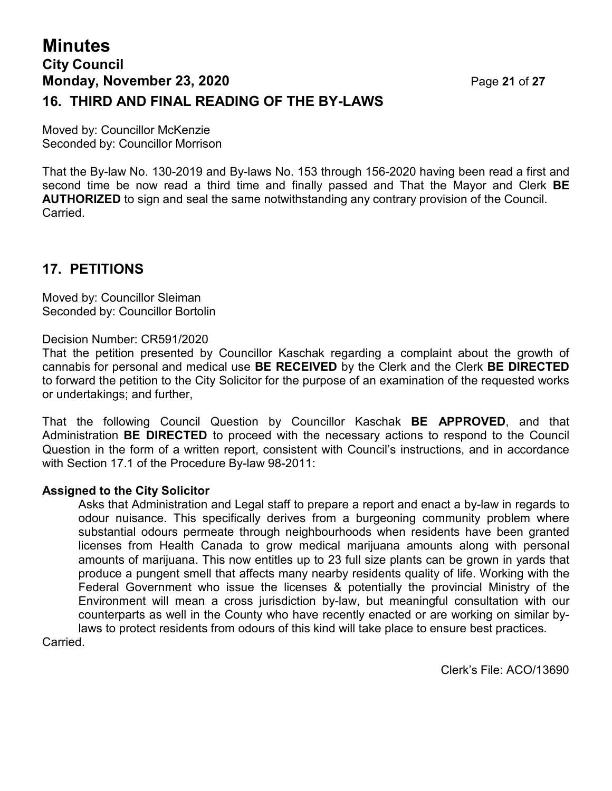## **Minutes City Council Monday, November 23, 2020 Page 21 of 27 16. THIRD AND FINAL READING OF THE BY-LAWS**

Moved by: Councillor McKenzie Seconded by: Councillor Morrison

That the By-law No. 130-2019 and By-laws No. 153 through 156-2020 having been read a first and second time be now read a third time and finally passed and That the Mayor and Clerk **BE AUTHORIZED** to sign and seal the same notwithstanding any contrary provision of the Council. Carried.

## **17. PETITIONS**

Moved by: Councillor Sleiman Seconded by: Councillor Bortolin

Decision Number: CR591/2020

That the petition presented by Councillor Kaschak regarding a complaint about the growth of cannabis for personal and medical use **BE RECEIVED** by the Clerk and the Clerk **BE DIRECTED** to forward the petition to the City Solicitor for the purpose of an examination of the requested works or undertakings; and further,

That the following Council Question by Councillor Kaschak **BE APPROVED**, and that Administration **BE DIRECTED** to proceed with the necessary actions to respond to the Council Question in the form of a written report, consistent with Council's instructions, and in accordance with Section 17.1 of the Procedure By-law 98-2011:

#### **Assigned to the City Solicitor**

Asks that Administration and Legal staff to prepare a report and enact a by-law in regards to odour nuisance. This specifically derives from a burgeoning community problem where substantial odours permeate through neighbourhoods when residents have been granted licenses from Health Canada to grow medical marijuana amounts along with personal amounts of marijuana. This now entitles up to 23 full size plants can be grown in yards that produce a pungent smell that affects many nearby residents quality of life. Working with the Federal Government who issue the licenses & potentially the provincial Ministry of the Environment will mean a cross jurisdiction by-law, but meaningful consultation with our counterparts as well in the County who have recently enacted or are working on similar bylaws to protect residents from odours of this kind will take place to ensure best practices.

Carried.

Clerk's File: ACO/13690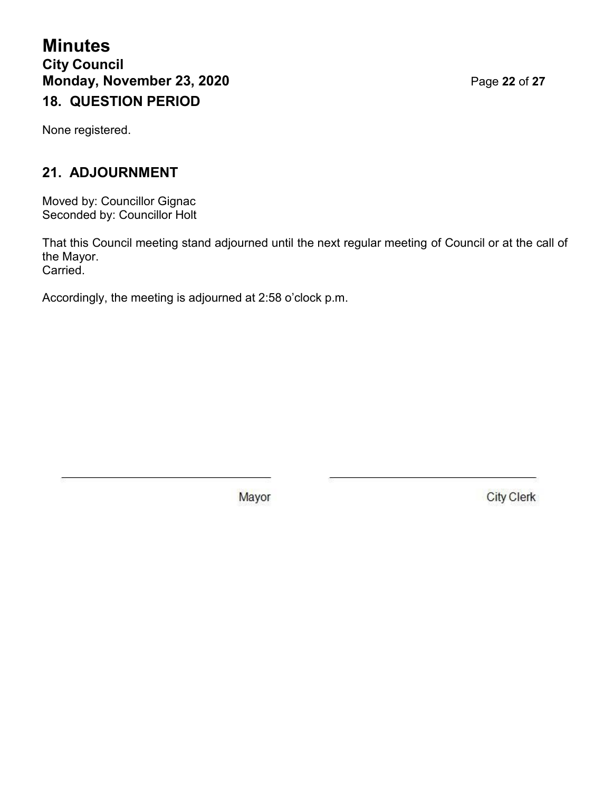**Minutes City Council Monday, November 23, 2020 Page 22 of 27 18. QUESTION PERIOD**

None registered.

## **21. ADJOURNMENT**

Moved by: Councillor Gignac Seconded by: Councillor Holt

That this Council meeting stand adjourned until the next regular meeting of Council or at the call of the Mayor. Carried.

Accordingly, the meeting is adjourned at 2:58 o'clock p.m.

Mayor

**City Clerk**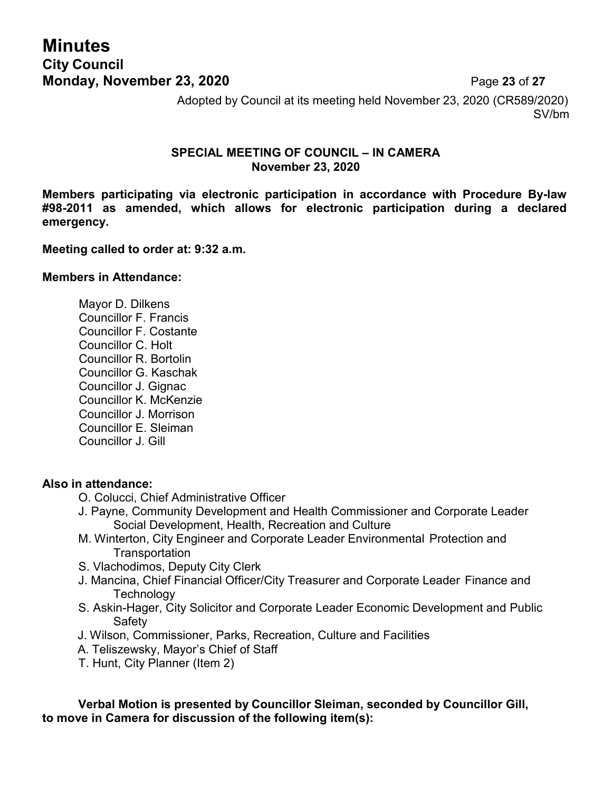## **Minutes City Council Monday, November 23, 2020 Page 23 of 27**

Adopted by Council at its meeting held November 23, 2020 (CR589/2020) SV/bm

#### **SPECIAL MEETING OF COUNCIL – IN CAMERA November 23, 2020**

**Members participating via electronic participation in accordance with Procedure By-law #98-2011 as amended, which allows for electronic participation during a declared emergency.**

#### **Meeting called to order at: 9:32 a.m.**

#### **Members in Attendance:**

Mayor D. Dilkens Councillor F. Francis Councillor F. Costante Councillor C. Holt Councillor R. Bortolin Councillor G. Kaschak Councillor J. Gignac Councillor K. McKenzie Councillor J. Morrison Councillor E. Sleiman Councillor J. Gill

#### **Also in attendance:**

- O. Colucci, Chief Administrative Officer
- J. Payne, Community Development and Health Commissioner and Corporate Leader Social Development, Health, Recreation and Culture
- M. Winterton, City Engineer and Corporate Leader Environmental Protection and **Transportation**
- S. Vlachodimos, Deputy City Clerk
- J. Mancina, Chief Financial Officer/City Treasurer and Corporate Leader Finance and **Technology**
- S. Askin-Hager, City Solicitor and Corporate Leader Economic Development and Public Safety
- J. Wilson, Commissioner, Parks, Recreation, Culture and Facilities
- A. Teliszewsky, Mayor's Chief of Staff
- T. Hunt, City Planner (Item 2)

**Verbal Motion is presented by Councillor Sleiman, seconded by Councillor Gill, to move in Camera for discussion of the following item(s):**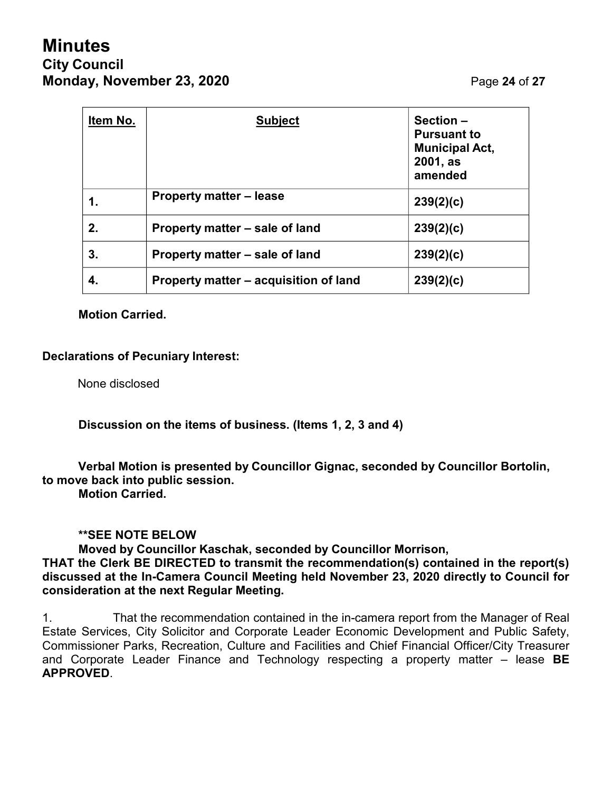# **Minutes City Council Monday, November 23, 2020 Page 24 of 27**

| Item No. | <b>Subject</b>                        | Section-<br><b>Pursuant to</b><br><b>Municipal Act,</b><br>2001, as<br>amended |
|----------|---------------------------------------|--------------------------------------------------------------------------------|
| 1.       | <b>Property matter – lease</b>        | 239(2)(c)                                                                      |
| 2.       | Property matter – sale of land        | 239(2)(c)                                                                      |
| 3.       | Property matter – sale of land        | 239(2)(c)                                                                      |
| 4.       | Property matter – acquisition of land | 239(2)(c)                                                                      |

**Motion Carried.**

#### **Declarations of Pecuniary Interest:**

None disclosed

**Discussion on the items of business. (Items 1, 2, 3 and 4)**

#### **Verbal Motion is presented by Councillor Gignac, seconded by Councillor Bortolin, to move back into public session.**

**Motion Carried.**

#### **\*\*SEE NOTE BELOW**

**Moved by Councillor Kaschak, seconded by Councillor Morrison, THAT the Clerk BE DIRECTED to transmit the recommendation(s) contained in the report(s) discussed at the In-Camera Council Meeting held November 23, 2020 directly to Council for consideration at the next Regular Meeting.**

1. That the recommendation contained in the in-camera report from the Manager of Real Estate Services, City Solicitor and Corporate Leader Economic Development and Public Safety, Commissioner Parks, Recreation, Culture and Facilities and Chief Financial Officer/City Treasurer and Corporate Leader Finance and Technology respecting a property matter – lease **BE APPROVED**.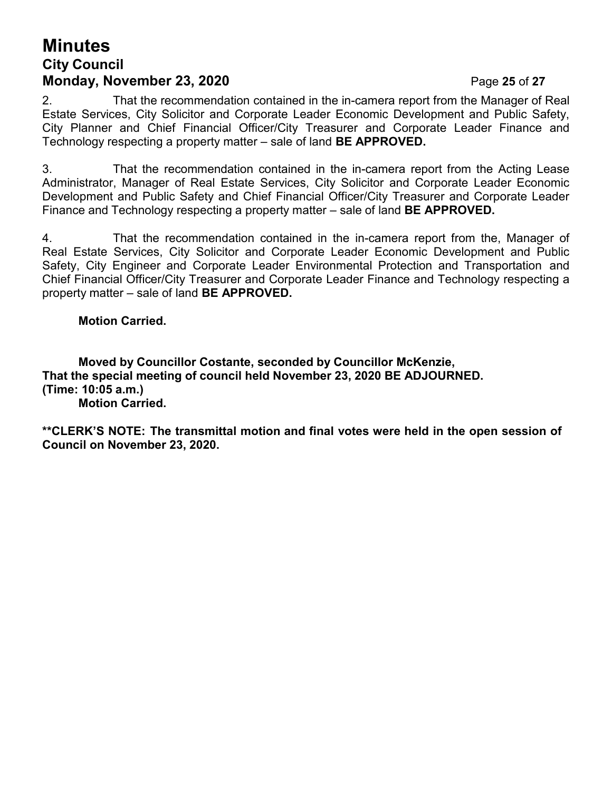## **Minutes City Council Monday, November 23, 2020 Page 25 of 27**

2. That the recommendation contained in the in-camera report from the Manager of Real Estate Services, City Solicitor and Corporate Leader Economic Development and Public Safety, City Planner and Chief Financial Officer/City Treasurer and Corporate Leader Finance and Technology respecting a property matter – sale of land **BE APPROVED.**

3. That the recommendation contained in the in-camera report from the Acting Lease Administrator, Manager of Real Estate Services, City Solicitor and Corporate Leader Economic Development and Public Safety and Chief Financial Officer/City Treasurer and Corporate Leader Finance and Technology respecting a property matter – sale of land **BE APPROVED.**

4. That the recommendation contained in the in-camera report from the, Manager of Real Estate Services, City Solicitor and Corporate Leader Economic Development and Public Safety, City Engineer and Corporate Leader Environmental Protection and Transportation and Chief Financial Officer/City Treasurer and Corporate Leader Finance and Technology respecting a property matter – sale of land **BE APPROVED.**

#### **Motion Carried.**

**Moved by Councillor Costante, seconded by Councillor McKenzie, That the special meeting of council held November 23, 2020 BE ADJOURNED. (Time: 10:05 a.m.) Motion Carried.**

**\*\*CLERK'S NOTE: The transmittal motion and final votes were held in the open session of Council on November 23, 2020.**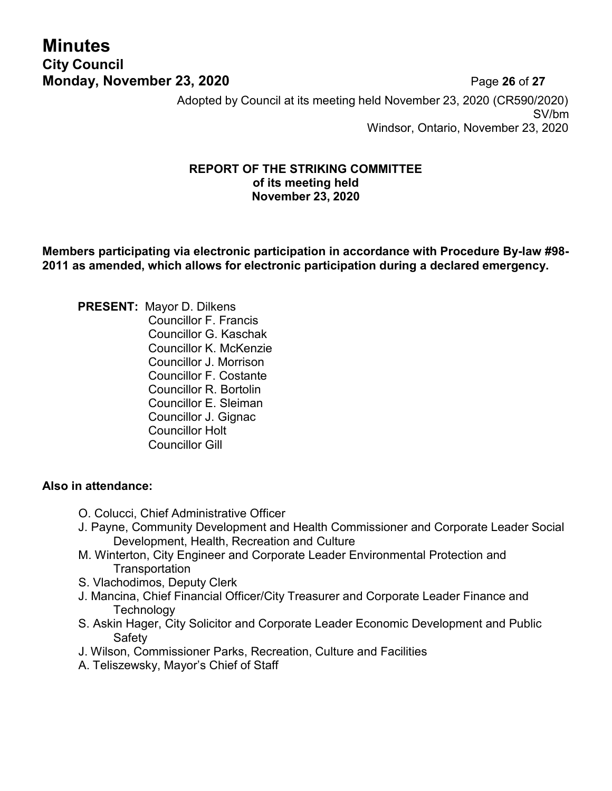# **Minutes City Council**

**Monday, November 23, 2020 Page 26 of 27** Adopted by Council at its meeting held November 23, 2020 (CR590/2020) SV/bm Windsor, Ontario, November 23, 2020

#### **REPORT OF THE STRIKING COMMITTEE of its meeting held November 23, 2020**

**Members participating via electronic participation in accordance with Procedure By-law #98- 2011 as amended, which allows for electronic participation during a declared emergency.**

**PRESENT:** Mayor D. Dilkens Councillor F. Francis Councillor G. Kaschak Councillor K. McKenzie Councillor J. Morrison Councillor F. Costante Councillor R. Bortolin Councillor E. Sleiman Councillor J. Gignac Councillor Holt Councillor Gill

#### **Also in attendance:**

- O. Colucci, Chief Administrative Officer
- J. Payne, Community Development and Health Commissioner and Corporate Leader Social Development, Health, Recreation and Culture
- M. Winterton, City Engineer and Corporate Leader Environmental Protection and **Transportation**
- S. Vlachodimos, Deputy Clerk
- J. Mancina, Chief Financial Officer/City Treasurer and Corporate Leader Finance and **Technology**
- S. Askin Hager, City Solicitor and Corporate Leader Economic Development and Public **Safety**
- J. Wilson, Commissioner Parks, Recreation, Culture and Facilities
- A. Teliszewsky, Mayor's Chief of Staff